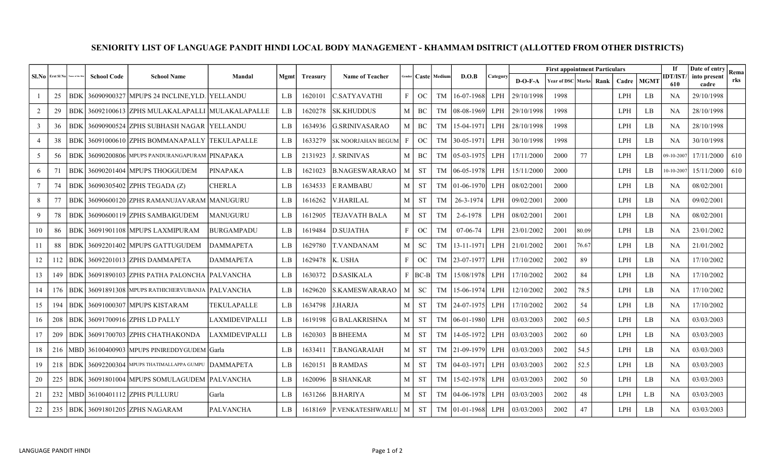## SENIORITY LIST OF LANGUAGE PANDIT HINDI LOCAL BODY MANAGEMENT - KHAMMAM DSITRICT (ALLOTTED FROM OTHER DISTRICTS)

| $SI.No$ Erst Sl No |     | ame of the D | <b>School Code</b> | <b>School Name</b>                           | Mandal           | Mgmt | Treasury | <b>Name of Teacher</b>    | Gender       |           | Caste Medium | D.O.B          | Category   |            | <b>First appointment Particulars</b> |       |      |            |             | If                     | Date of entry         | Rema |
|--------------------|-----|--------------|--------------------|----------------------------------------------|------------------|------|----------|---------------------------|--------------|-----------|--------------|----------------|------------|------------|--------------------------------------|-------|------|------------|-------------|------------------------|-----------------------|------|
|                    |     |              |                    |                                              |                  |      |          |                           |              |           |              |                |            | $D-O-F-A$  | Year of DSC Marks                    |       | Rank | Cadre      | <b>MGMT</b> | <b>IDT/IST/</b><br>610 | into present<br>cadre | rks  |
|                    | 25  | BDK          |                    | 36090900327 MPUPS 24 INCLINE, YLD. YELLANDU  |                  | L.B  | 1620101  | C.SATYAVATHI              | $\mathbf{F}$ | OC        | TM           | 16-07-1968     | <b>LPH</b> | 29/10/1998 | 1998                                 |       |      | LPH        | LB.         | NA                     | 29/10/1998            |      |
| $\overline{2}$     | 29  | <b>BDK</b>   |                    | 36092100613 ZPHS MULAKALAPALLI MULAKALAPALLE |                  | L.B  | 1620278  | <b>SK.KHUDDUS</b>         | $\mathbf{M}$ | BC        | TM           | 08-08-1969     | <b>LPH</b> | 29/10/1998 | 1998                                 |       |      | LPH        | LB          | NA                     | 28/10/1998            |      |
| 3                  | 36  | <b>BDK</b>   |                    | 36090900524 ZPHS SUBHASH NAGAR TELLANDU      |                  | L.B  | 1634936  | G.SRINIVASARAO            | M            | BC.       | TM           | 15-04-1971     | LPH.       | 28/10/1998 | 1998                                 |       |      | LPH        | LB          | NA                     | 28/10/1998            |      |
| $\overline{4}$     | 38  | <b>BDK</b>   |                    | 36091000610 ZPHS BOMMANAPALLY TEKULAPALLE    |                  | L.B  | 1633279  | <b>SK NOORJAHAN BEGUM</b> | $\mathbf{F}$ | OC        | <b>TM</b>    | 30-05-1971     | LPH.       | 30/10/1998 | 1998                                 |       |      | LPH        | LB.         | <b>NA</b>              | 30/10/1998            |      |
| $5\overline{)}$    | 56  | <b>BDK</b>   |                    | 36090200806 MPUPS PANDURANGAPURAM PINAPAKA   |                  | L.B  | 2131923  | <b>J. SRINIVAS</b>        | M            | BC        | TM           | 05-03-1975     | LPH        | 17/11/2000 | 2000                                 | 77    |      | LPH        | LB          | 09-10-2007             | 17/11/2000            | 610  |
| 6                  | 71  | <b>BDK</b>   |                    | 36090201404 MPUPS THOGGUDEM                  | <b>PINAPAKA</b>  | L.B  | 1621023  | <b>B.NAGESWARARAO</b>     | M            | <b>ST</b> | TM           | 06-05-1978     | <b>LPH</b> | 15/11/2000 | 2000                                 |       |      | LPH        | LB          | $0 - 10 - 200$         | 15/11/2000            | 610  |
| $7\phantom{.0}$    | 74  | <b>BDK</b>   |                    | 36090305402 ZPHS TEGADA (Z)                  | <b>CHERLA</b>    | L.B  | 1634533  | <b>E RAMBABU</b>          | M            | <b>ST</b> | TM           | $01-06-1970$   | LPH.       | 08/02/2001 | 2000                                 |       |      | LPH        | LB.         | <b>NA</b>              | 08/02/2001            |      |
| 8                  | 77  | <b>BDK</b>   |                    | 36090600120 ZPHS RAMANUJAVARAM MANUGURU      |                  | L.B  | 1616262  | <b>V.HARILAL</b>          | $\mathbf M$  | <b>ST</b> | TM           | 26-3-1974      | LPH.       | 09/02/2001 | 2000                                 |       |      | LPH        | LB          | <b>NA</b>              | 09/02/2001            |      |
| 9                  | 78  | <b>BDK</b>   |                    | 36090600119 ZPHS SAMBAIGUDEM                 | <b>MANUGURU</b>  | L.B  | 1612905  | <b>TEJAVATH BALA</b>      | $\mathbf M$  | <b>ST</b> | TM           | 2-6-1978       | <b>LPH</b> | 08/02/2001 | 2001                                 |       |      | <b>LPH</b> | LB          | <b>NA</b>              | 08/02/2001            |      |
| 10                 | 86  | <b>BDK</b>   |                    | 36091901108 IMPUPS LAXMIPURAM                | IBURGAMPADU      | L.B  | 1619484  | <b>D.SUJATHA</b>          | $\mathbf{F}$ | OC        | TM           | $07-06-74$     | LPH.       | 23/01/2002 | 2001                                 | 80.09 |      | <b>LPH</b> | LB.         | NA.                    | 23/01/2002            |      |
| 11                 | 88  | <b>BDK</b>   |                    | 36092201402 MPUPS GATTUGUDEM                 | <b>DAMMAPETA</b> | L.B  | 1629780  | <b>T.VANDANAM</b>         | M            | <b>SC</b> | TM           | 13-11-1971     | <b>LPH</b> | 21/01/2002 | 2001                                 | 76.67 |      | LPH        | LB          | <b>NA</b>              | 21/01/2002            |      |
| 12                 | 112 | <b>BDK</b>   |                    | 36092201013 ZPHS DAMMAPETA                   | <b>DAMMAPETA</b> | L.B  | 1629478  | K. USHA                   | $\mathbf{F}$ | OC        | TM           | 23-07-1977     | <b>LPH</b> | 17/10/2002 | 2002                                 | 89    |      | LPH        | LB          | <b>NA</b>              | 17/10/2002            |      |
| 13                 | 149 | BDK          |                    | 36091890103 ZPHS PATHA PALONCHA PALVANCHA    |                  | L.B  | 1630372  | <b>D.SASIKALA</b>         | $\mathbf{F}$ | BC-B      | TM           | 15/08/1978     | <b>LPH</b> | 17/10/2002 | 2002                                 | 84    |      | LPH        | LB          | <b>NA</b>              | 17/10/2002            |      |
| 14                 | 176 | <b>BDK</b>   |                    | 36091891308 MPUPS RATHICHERVUBANJA PALVANCHA |                  | L.B  | 1629620  | <b>S.KAMESWARARAO</b>     | M            | <b>SC</b> | <b>TM</b>    | 15-06-1974     | <b>LPH</b> | 12/10/2002 | 2002                                 | 78.5  |      | LPH        | LB          | <b>NA</b>              | 17/10/2002            |      |
| 15                 | 194 | <b>BDK</b>   |                    | 36091000307   MPUPS KISTARAM                 | TEKULAPALLE      | L.B  | 1634798  | J.HARJA                   | M            | <b>ST</b> | TM           | 24-07-1975     | <b>LPH</b> | 17/10/2002 | 2002                                 | 54    |      | LPH        | LB          | NA                     | 17/10/2002            |      |
| 16                 | 208 | <b>BDK</b>   |                    | 36091700916 ZPHS LD PALLY                    | LAXMIDEVIPALLI   | L.B  | 1619198  | <b>G BALAKRISHNA</b>      | M            | <b>ST</b> | TM           | $ 06-01-1980 $ | LPH.       | 03/03/2003 | 2002                                 | 60.5  |      | LPH        | LB          | <b>NA</b>              | 03/03/2003            |      |
| 17                 | 209 | <b>BDK</b>   |                    | 36091700703 ZPHS CHATHAKONDA                 | LAXMIDEVIPALLI   | L.B  | 1620303  | <b>B BHEEMA</b>           | $\mathbf M$  | <b>ST</b> | TM           | 14-05-1972     | LPH.       | 03/03/2003 | 2002                                 | 60    |      | <b>LPH</b> | LB.         | <b>NA</b>              | 03/03/2003            |      |
| 18                 | 216 | MBDl         |                    | 36100400903 MPUPS PINIREDDYGUDEM Garla       |                  | L.B  | 1633411  | T.BANGARAIAH              | $\mathbf M$  | <b>ST</b> | TM           | 21-09-1979     | <b>LPH</b> | 03/03/2003 | 2002                                 | 54.5  |      | LPH        | LB          | <b>NA</b>              | 03/03/2003            |      |
| 19                 | 218 | <b>BDK</b>   |                    | 36092200304 MPUPS THATIMALLAPPA GUMPU        | <b>DAMMAPETA</b> | L.B  | 1620151  | <b>B RAMDAS</b>           | $\mathbf M$  | <b>ST</b> | TM           | $ 04-03-1971$  | LPH.       | 03/03/2003 | 2002                                 | 52.5  |      | <b>LPH</b> | LB          | <b>NA</b>              | 03/03/2003            |      |
| 20                 | 225 | <b>BDK</b>   |                    | 36091801004 MPUPS SOMULAGUDEM PALVANCHA      |                  | L.B  | 1620096  | <b>B SHANKAR</b>          | M            | <b>ST</b> | TM           | 15-02-1978     | <b>LPH</b> | 03/03/2003 | 2002                                 | 50    |      | LPH        | LB          | <b>NA</b>              | 03/03/2003            |      |
| 21                 | 232 | MBDl         |                    | 36100401112 ZPHS PULLURU                     | Garla            | L.B  | 1631266  | <b>B.HARIYA</b>           | $\mathbf{M}$ | <b>ST</b> | <b>TM</b>    | 04-06-1978     | LPH        | 03/03/2003 | 2002                                 | 48    |      | LPH        | L.B         | <b>NA</b>              | 03/03/2003            |      |
| 22                 | 235 |              |                    | BDK 36091801205 ZPHS NAGARAM                 | <b>PALVANCHA</b> | L.B  | 1618169  | P.VENKATESHWARLU          | $\mathsf{M}$ | <b>ST</b> |              | TM 101-01-1968 | LPH.       | 03/03/2003 | 2002                                 | 47    |      | <b>LPH</b> | LB          | <b>NA</b>              | 03/03/2003            |      |